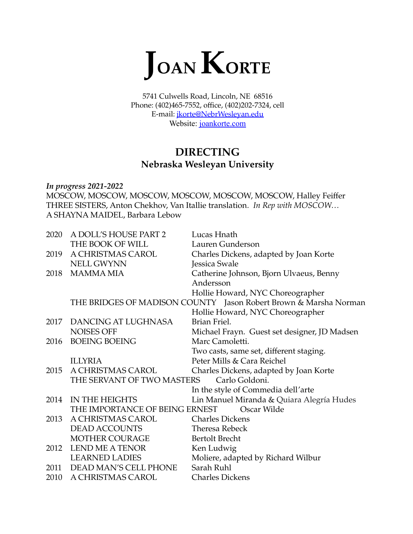

5741 Culwells Road, Lincoln, NE 68516 Phone: (402)465-7552, office, (402)202-7324, cell E-mail: [jkorte@NebrWesleyan.edu](mailto:jkorte@NebrWesleyan.edu) Website: [joankorte.com](https://elleluthompson.wixsite.com/joankorte)

# **DIRECTING Nebraska Wesleyan University**

*In progress 2021-2022* MOSCOW, MOSCOW, MOSCOW, MOSCOW, MOSCOW, MOSCOW, Halley Feiffer THREE SISTERS, Anton Chekhov, Van Itallie translation*. In Rep with MOSCOW…* A SHAYNA MAIDEL, Barbara Lebow

| 2020 | A DOLL'S HOUSE PART 2          | Lucas Hnath                                                      |
|------|--------------------------------|------------------------------------------------------------------|
|      | THE BOOK OF WILL               | Lauren Gunderson                                                 |
| 2019 | A CHRISTMAS CAROL              | Charles Dickens, adapted by Joan Korte                           |
|      | <b>NELL GWYNN</b>              | Jessica Swale                                                    |
| 2018 | <b>MAMMA MIA</b>               | Catherine Johnson, Bjorn Ulvaeus, Benny                          |
|      |                                | Andersson                                                        |
|      |                                | Hollie Howard, NYC Choreographer                                 |
|      |                                | THE BRIDGES OF MADISON COUNTY Jason Robert Brown & Marsha Norman |
|      |                                | Hollie Howard, NYC Choreographer                                 |
| 2017 | DANCING AT LUGHNASA            | Brian Friel.                                                     |
|      | <b>NOISES OFF</b>              | Michael Frayn. Guest set designer, JD Madsen                     |
| 2016 | <b>BOEING BOEING</b>           | Marc Camoletti.                                                  |
|      |                                | Two casts, same set, different staging.                          |
|      | <b>ILLYRIA</b>                 | Peter Mills & Cara Reichel                                       |
| 2015 | A CHRISTMAS CAROL              | Charles Dickens, adapted by Joan Korte                           |
|      | THE SERVANT OF TWO MASTERS     | Carlo Goldoni.                                                   |
|      |                                | In the style of Commedia dell'arte                               |
| 2014 | IN THE HEIGHTS                 | Lin Manuel Miranda & Quiara Alegría Hudes                        |
|      | THE IMPORTANCE OF BEING ERNEST | Oscar Wilde                                                      |
| 2013 | A CHRISTMAS CAROL              | <b>Charles Dickens</b>                                           |
|      | <b>DEAD ACCOUNTS</b>           | <b>Theresa Rebeck</b>                                            |
|      | MOTHER COURAGE                 | <b>Bertolt Brecht</b>                                            |
| 2012 | <b>LEND ME A TENOR</b>         | Ken Ludwig                                                       |
|      | <b>LEARNED LADIES</b>          | Moliere, adapted by Richard Wilbur                               |
|      | 2011 DEAD MAN'S CELL PHONE     | Sarah Ruhl                                                       |
| 2010 | A CHRISTMAS CAROL              | <b>Charles Dickens</b>                                           |
|      |                                |                                                                  |